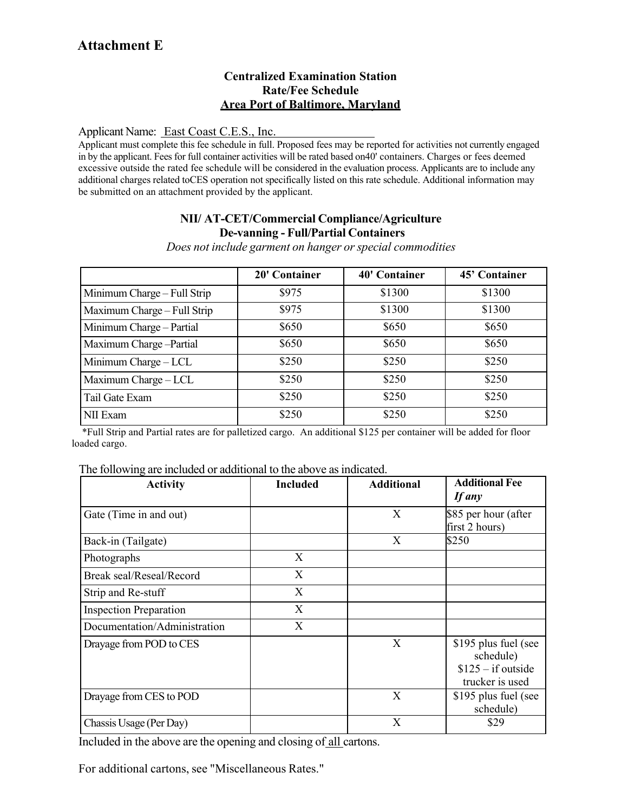### **Centralized Examination Station Rate/Fee Schedule Area Port of Baltimore, Maryland**

Applicant Name: East Coast C.E.S., Inc.

Applicant must complete this fee schedule in full. Proposed fees may be reported for activities not currently engaged in by the applicant. Fees for full container activities will be rated based on40' containers. Charges or fees deemed excessive outside the rated fee schedule will be considered in the evaluation process. Applicants are to include any additional charges related toCES operation not specifically listed on this rate schedule. Additional information may be submitted on an attachment provided by the applicant.

## **NII/ AT-CET/Commercial Compliance/Agriculture De-vanning - Full/Partial Containers**

*Does not include garment on hanger orspecial commodities*

|                             | 20' Container | <b>40' Container</b> | 45' Container |
|-----------------------------|---------------|----------------------|---------------|
| Minimum Charge - Full Strip | \$975         | \$1300               | \$1300        |
| Maximum Charge - Full Strip | \$975         | \$1300               | \$1300        |
| Minimum Charge - Partial    | \$650         | \$650                | \$650         |
| Maximum Charge-Partial      | \$650         | \$650                | \$650         |
| Minimum Charge - LCL        | \$250         | \$250                | \$250         |
| Maximum Charge - LCL        | \$250         | \$250                | \$250         |
| Tail Gate Exam              | \$250         | \$250                | \$250         |
| NII Exam                    | \$250         | \$250                | \$250         |

 \*Full Strip and Partial rates are for palletized cargo. An additional \$125 per container will be added for floor loaded cargo.

|  |  | The following are included or additional to the above as indicated. |
|--|--|---------------------------------------------------------------------|
|  |  |                                                                     |

| <b>Activity</b>               | <b>Included</b> | <b>Additional</b> | <b>Additional Fee</b><br><b>If any</b>                                      |
|-------------------------------|-----------------|-------------------|-----------------------------------------------------------------------------|
| Gate (Time in and out)        |                 | X                 | \$85 per hour (after<br>first 2 hours)                                      |
| Back-in (Tailgate)            |                 | X                 | \$250                                                                       |
| Photographs                   | X               |                   |                                                                             |
| Break seal/Reseal/Record      | X               |                   |                                                                             |
| Strip and Re-stuff            | X               |                   |                                                                             |
| <b>Inspection Preparation</b> | X               |                   |                                                                             |
| Documentation/Administration  | X               |                   |                                                                             |
| Drayage from POD to CES       |                 | X                 | \$195 plus fuel (see<br>schedule)<br>$$125 - if outside$<br>trucker is used |
| Drayage from CES to POD       |                 | X                 | \$195 plus fuel (see<br>schedule)                                           |
| Chassis Usage (Per Day)       |                 | X                 | \$29                                                                        |

Included in the above are the opening and closing of all cartons.

For additional cartons, see "Miscellaneous Rates."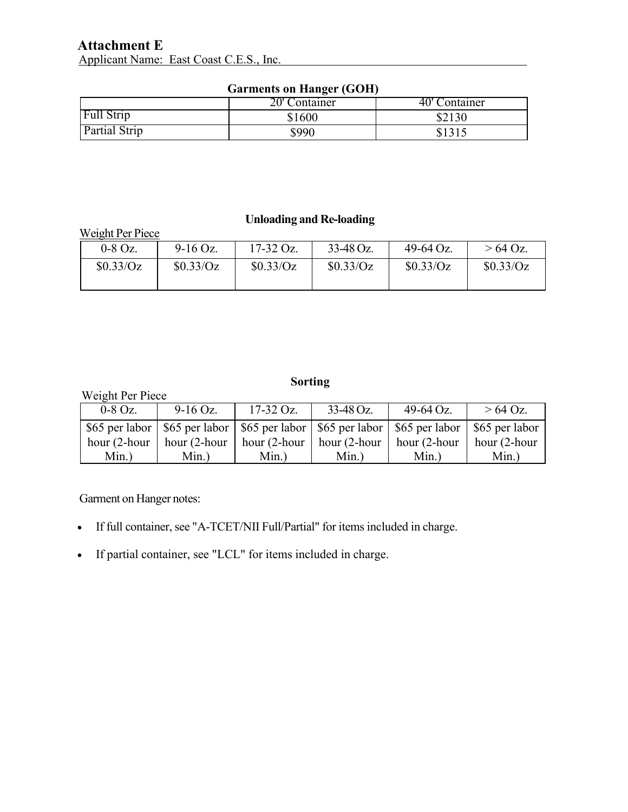# **Attachment E** Applicant Name: East Coast C.E.S., Inc.

| Garments on manger (GOM) |               |               |  |  |  |
|--------------------------|---------------|---------------|--|--|--|
|                          | 20' Container | 40' Container |  |  |  |
| <b>Full Strip</b>        | \$1600        | \$2130        |  |  |  |
| Partial Strip            | \$990         |               |  |  |  |

#### **Garments on Hanger (GOH)**

#### **Unloading and Re-loading**

| Weight Per Piece |            |             |           |           |           |
|------------------|------------|-------------|-----------|-----------|-----------|
| $0-8$ Oz.        | $9-16$ Oz. | $17-32$ Oz. | 33-48 Oz. | 49-64 Oz. | $>64$ Oz. |
| \$0.33/Oz        | \$0.33/Oz  | \$0.33/Oz   | \$0.33/Oz | \$0.33/Oz | \$0.33/Oz |
|                  |            |             |           |           |           |

# **Sorting**

| Weight Per Piece |                 |                 |                 |                                                                                                     |                      |  |
|------------------|-----------------|-----------------|-----------------|-----------------------------------------------------------------------------------------------------|----------------------|--|
| $0-8$ Oz.        | $9-16$ Oz.      | $17-32$ Oz.     | $33-48$ Oz.     | $49-64$ Oz.                                                                                         | $> 64$ Oz.           |  |
|                  |                 |                 |                 | \$65 per labor   \$65 per labor   \$65 per labor   \$65 per labor   \$65 per labor   \$65 per labor |                      |  |
| hour (2-hour     | hour $(2$ -hour | hour $(2$ -hour | $hour (2-hour)$ | hour (2-hour                                                                                        | $\vert$ hour (2-hour |  |
| $Min.$ )         | $Min.$ )        | $Min.$ )        | $Min.$ )        | $Min.$ )                                                                                            | $Min.$ )             |  |

Garment on Hanger notes:

- If full container, see "A-TCET/NII Full/Partial" for items included in charge.
- If partial container, see "LCL" for items included in charge.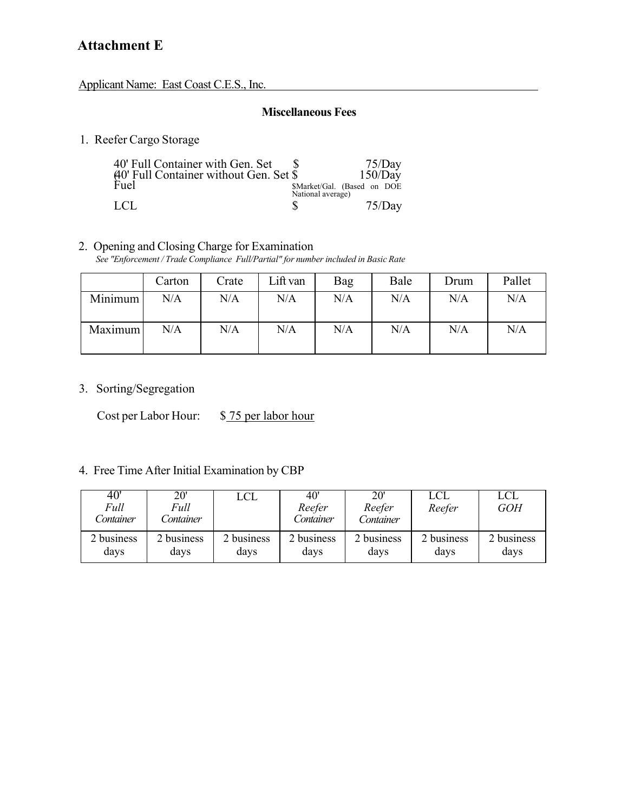Applicant Name: East Coast C.E.S., Inc.

#### **Miscellaneous Fees**

1. Reefer Cargo Storage

| 40' Full Container with Gen. Set |                   | 75/Day<br>150/Day           |
|----------------------------------|-------------------|-----------------------------|
|                                  | National average) | \$Market/Gal. (Based on DOE |
| LCL                              |                   | 75/Dav                      |

#### 2. Opening and Closing Charge for Examination

*See "Enforcement / Trade Compliance Full/Partial" for number included in Basic Rate*

|         | Carton | Crate | Lift van | Bag | Bale | Drum | Pallet |
|---------|--------|-------|----------|-----|------|------|--------|
| Minimum | N/A    | N/A   | N/A      | N/A | N/A  | N/A  | N/A    |
| Maximum | N/A    | N/A   | N/A      | N/A | N/A  | N/A  | N/A    |

3. Sorting/Segregation

Cost per Labor Hour: \$75 per labor hour

# 4. Free Time After Initial Examination by CBP

| $\overline{40}$<br>Full<br>Container | 20'<br>Full<br>Sontainer | LCL        | 40'<br>Reefer<br>Container | 20'<br>Reefer<br>Container | LCL<br>Reefer | LCL<br><b>GOH</b> |
|--------------------------------------|--------------------------|------------|----------------------------|----------------------------|---------------|-------------------|
| 2 business                           | 2 business               | 2 business | 2 business                 | 2 business                 | 2 business    | 2 business        |
| days                                 | days                     | days       | days                       | days                       | davs          | davs              |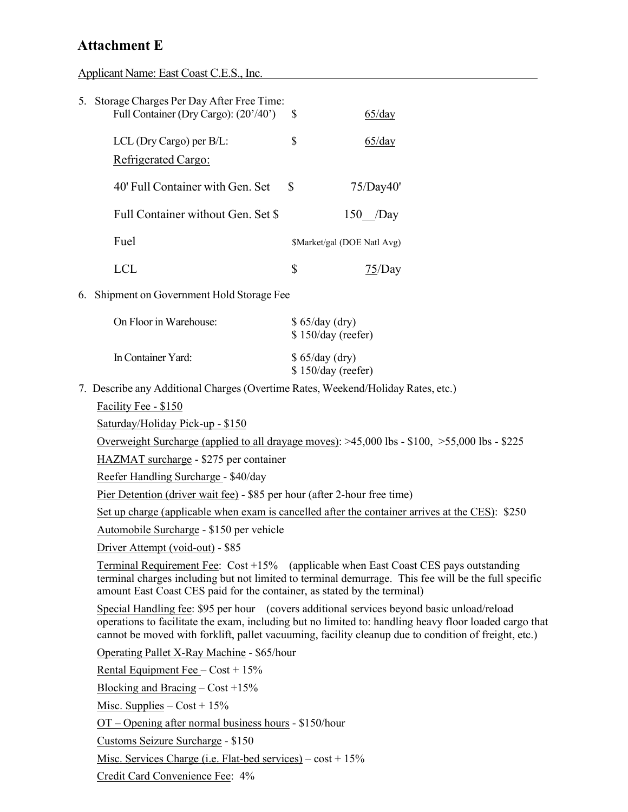Applicant Name: East Coast C.E.S., Inc.

| 5. Storage Charges Per Day After Free Time:<br>Full Container (Dry Cargo): (20'/40') \$ |   | 65/day                      |
|-----------------------------------------------------------------------------------------|---|-----------------------------|
| LCL (Dry Cargo) per $B/L$ :<br>Refrigerated Cargo:                                      | S | $65$ /day                   |
| 40' Full Container with Gen. Set                                                        | S | 75/Day40'                   |
| Full Container without Gen. Set \$                                                      |   | $150$ /Day                  |
| <b>Fuel</b>                                                                             |   | \$Market/gal (DOE Natl Avg) |
|                                                                                         |   |                             |

6. Shipment on Government Hold Storage Fee

| On Floor in Warehouse: | $$65/day$ (dry)<br>\$150/day (reefer) |
|------------------------|---------------------------------------|
| In Container Yard:     | \$65/day (dry)<br>\$150/day (reeter)  |

7. Describe any Additional Charges (Overtime Rates, Weekend/Holiday Rates, etc.)

Facility Fee - \$150

Saturday/Holiday Pick-up - \$150

Overweight Surcharge (applied to all drayage moves): >45,000 lbs - \$100, >55,000 lbs - \$225

HAZMAT surcharge - \$275 per container

Reefer Handling Surcharge - \$40/day

Pier Detention (driver wait fee) - \$85 per hour (after 2-hour free time)

Set up charge (applicable when exam is cancelled after the container arrives at the CES): \$250

Automobile Surcharge - \$150 per vehicle

Driver Attempt (void-out) - \$85

Terminal Requirement Fee: Cost +15% (applicable when East Coast CES pays outstanding terminal charges including but not limited to terminal demurrage. This fee will be the full specific amount East Coast CES paid for the container, as stated by the terminal)

Special Handling fee: \$95 per hour (covers additional services beyond basic unload/reload operations to facilitate the exam, including but no limited to: handling heavy floor loaded cargo that cannot be moved with forklift, pallet vacuuming, facility cleanup due to condition of freight, etc.)

Operating Pallet X-Ray Machine - \$65/hour

Rental Equipment Fee – Cost + 15%

Blocking and Bracing – Cost +15%

Misc. Supplies –  $Cost + 15\%$ 

OT – Opening after normal business hours - \$150/hour

Customs Seizure Surcharge - \$150

Misc. Services Charge (i.e. Flat-bed services) –  $cost + 15%$ 

Credit Card Convenience Fee: 4%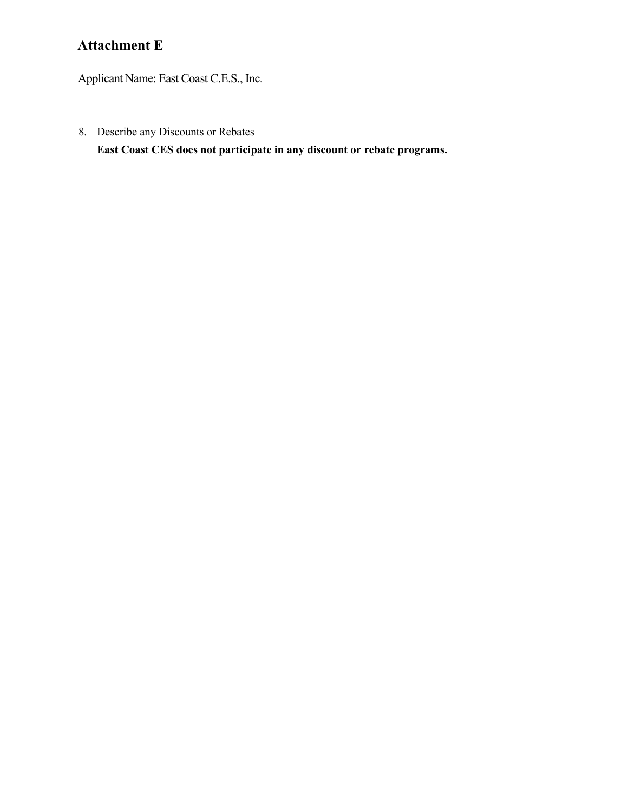Applicant Name: East Coast C.E.S., Inc.

8. Describe any Discounts or Rebates

**East Coast CES does not participate in any discount or rebate programs.**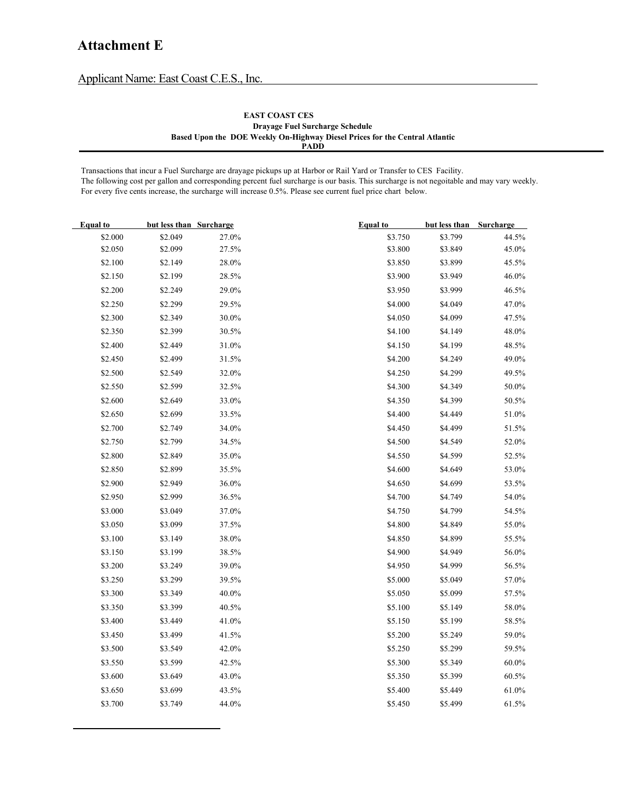Applicant Name: East Coast C.E.S., Inc.

#### **EAST COAST CES Drayage Fuel Surcharge Schedule Based Upon the DOE Weekly On-Highway Diesel Prices for the Central Atlantic PADD**

Transactions that incur a Fuel Surcharge are drayage pickups up at Harbor or Rail Yard or Transfer to CES Facility. The following cost per gallon and corresponding percent fuel surcharge is our basis. This surcharge is not negoitable and may vary weekly. For every five cents increase, the surcharge will increase 0.5%. Please see current fuel price chart below.

| <b>Equal</b> to | but less than Surcharge |       | <b>Equal</b> to | but less than Surcharge |          |
|-----------------|-------------------------|-------|-----------------|-------------------------|----------|
| \$2.000         | \$2.049                 | 27.0% | \$3.750         | \$3.799                 | 44.5%    |
| \$2.050         | \$2.099                 | 27.5% | \$3.800         | \$3.849                 | 45.0%    |
| \$2.100         | \$2.149                 | 28.0% | \$3.850         | \$3.899                 | 45.5%    |
| \$2.150         | \$2.199                 | 28.5% | \$3.900         | \$3.949                 | 46.0%    |
| \$2.200         | \$2.249                 | 29.0% | \$3.950         | \$3.999                 | 46.5%    |
| \$2.250         | \$2.299                 | 29.5% | \$4.000         | \$4.049                 | $47.0\%$ |
| \$2.300         | \$2.349                 | 30.0% | \$4.050         | \$4.099                 | 47.5%    |
| \$2.350         | \$2.399                 | 30.5% | \$4.100         | \$4.149                 | $48.0\%$ |
| \$2.400         | \$2.449                 | 31.0% | \$4.150         | \$4.199                 | 48.5%    |
| \$2.450         | \$2.499                 | 31.5% | \$4.200         | \$4.249                 | 49.0%    |
| \$2.500         | \$2.549                 | 32.0% | \$4.250         | \$4.299                 | 49.5%    |
| \$2.550         | \$2.599                 | 32.5% | \$4.300         | \$4.349                 | $50.0\%$ |
| \$2.600         | \$2.649                 | 33.0% | \$4.350         | \$4.399                 | 50.5%    |
| \$2.650         | \$2.699                 | 33.5% | \$4.400         | \$4.449                 | 51.0%    |
| \$2.700         | \$2.749                 | 34.0% | \$4.450         | \$4.499                 | 51.5%    |
| \$2.750         | \$2.799                 | 34.5% | \$4.500         | \$4.549                 | 52.0%    |
| \$2.800         | \$2.849                 | 35.0% | \$4.550         | \$4.599                 | 52.5%    |
| \$2.850         | \$2.899                 | 35.5% | \$4.600         | \$4.649                 | 53.0%    |
| \$2.900         | \$2.949                 | 36.0% | \$4.650         | \$4.699                 | 53.5%    |
| \$2.950         | \$2.999                 | 36.5% | \$4.700         | \$4.749                 | $54.0\%$ |
| \$3.000         | \$3.049                 | 37.0% | \$4.750         | \$4.799                 | 54.5%    |
| \$3.050         | \$3.099                 | 37.5% | \$4.800         | \$4.849                 | 55.0%    |
| \$3.100         | \$3.149                 | 38.0% | \$4.850         | \$4.899                 | 55.5%    |
| \$3.150         | \$3.199                 | 38.5% | \$4.900         | \$4.949                 | 56.0%    |
| \$3.200         | \$3.249                 | 39.0% | \$4.950         | \$4.999                 | 56.5%    |
| \$3.250         | \$3.299                 | 39.5% | \$5.000         | \$5.049                 | 57.0%    |
| \$3.300         | \$3.349                 | 40.0% | \$5.050         | \$5.099                 | 57.5%    |
| \$3.350         | \$3.399                 | 40.5% | \$5.100         | \$5.149                 | $58.0\%$ |
| \$3.400         | \$3.449                 | 41.0% | \$5.150         | \$5.199                 | 58.5%    |
| \$3.450         | \$3.499                 | 41.5% | \$5.200         | \$5.249                 | 59.0%    |
| \$3.500         | \$3.549                 | 42.0% | \$5.250         | \$5.299                 | 59.5%    |
| \$3.550         | \$3.599                 | 42.5% | \$5.300         | \$5.349                 | $60.0\%$ |
| \$3.600         | \$3.649                 | 43.0% | \$5.350         | \$5.399                 | 60.5%    |
| \$3.650         | \$3.699                 | 43.5% | \$5.400         | \$5.449                 | $61.0\%$ |
| \$3.700         | \$3.749                 | 44.0% | \$5.450         | \$5.499                 | 61.5%    |